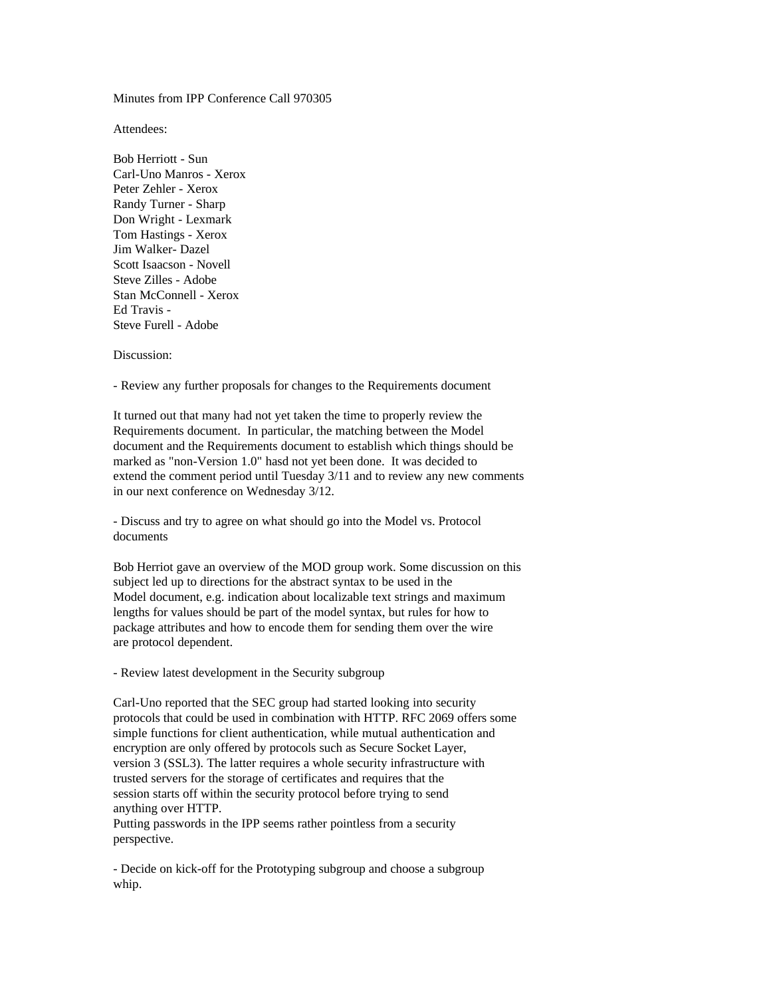Minutes from IPP Conference Call 970305

Attendees:

Bob Herriott - Sun Carl-Uno Manros - Xerox Peter Zehler - Xerox Randy Turner - Sharp Don Wright - Lexmark Tom Hastings - Xerox Jim Walker- Dazel Scott Isaacson - Novell Steve Zilles - Adobe Stan McConnell - Xerox Ed Travis - Steve Furell - Adobe

Discussion:

- Review any further proposals for changes to the Requirements document

It turned out that many had not yet taken the time to properly review the Requirements document. In particular, the matching between the Model document and the Requirements document to establish which things should be marked as "non-Version 1.0" hasd not yet been done. It was decided to extend the comment period until Tuesday 3/11 and to review any new comments in our next conference on Wednesday 3/12.

- Discuss and try to agree on what should go into the Model vs. Protocol documents

Bob Herriot gave an overview of the MOD group work. Some discussion on this subject led up to directions for the abstract syntax to be used in the Model document, e.g. indication about localizable text strings and maximum lengths for values should be part of the model syntax, but rules for how to package attributes and how to encode them for sending them over the wire are protocol dependent.

- Review latest development in the Security subgroup

Carl-Uno reported that the SEC group had started looking into security protocols that could be used in combination with HTTP. RFC 2069 offers some simple functions for client authentication, while mutual authentication and encryption are only offered by protocols such as Secure Socket Layer, version 3 (SSL3). The latter requires a whole security infrastructure with trusted servers for the storage of certificates and requires that the session starts off within the security protocol before trying to send anything over HTTP. Putting passwords in the IPP seems rather pointless from a security

perspective.

- Decide on kick-off for the Prototyping subgroup and choose a subgroup whip.